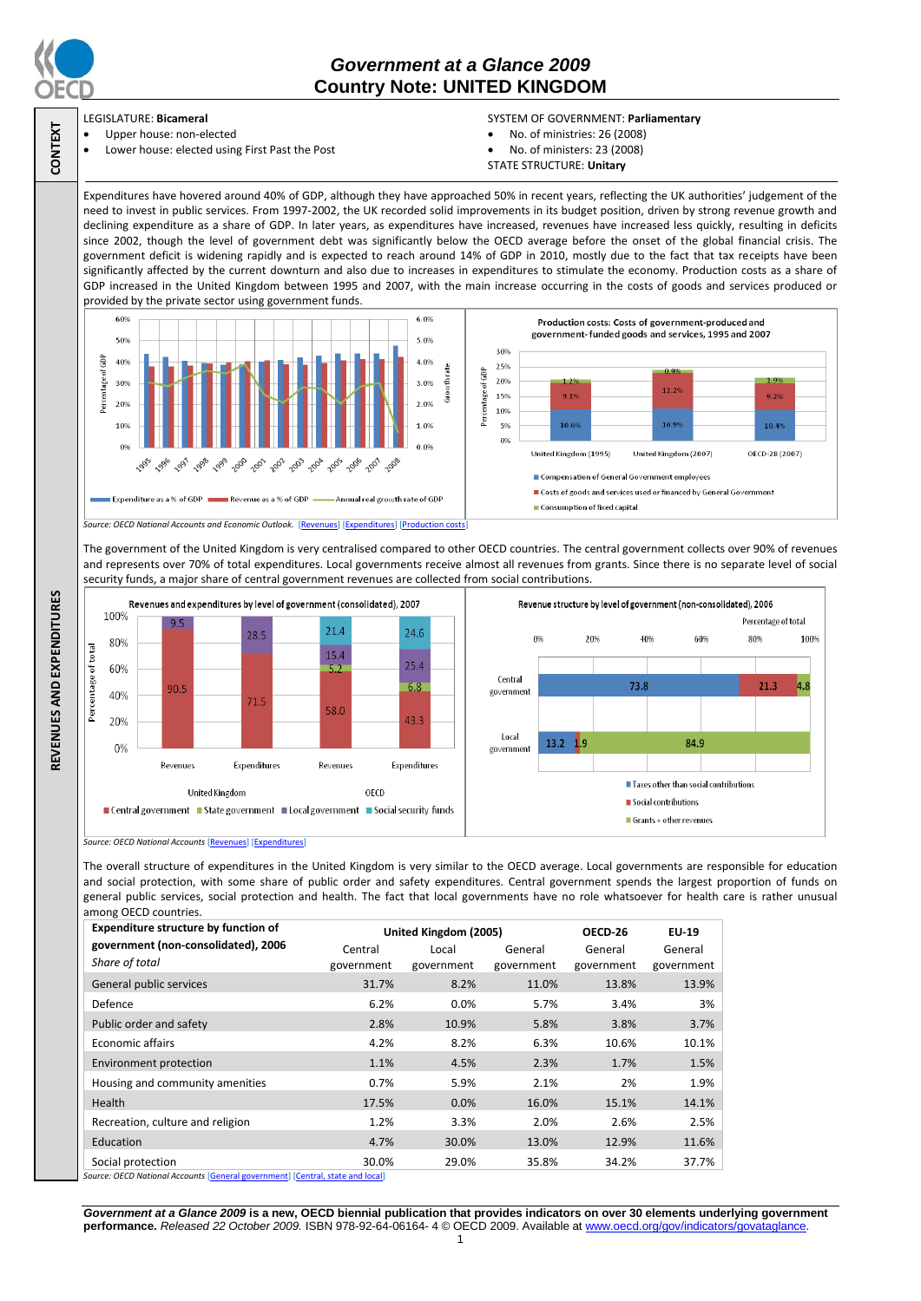

**CONTEXT**

**REVENUES AND EXPENDITURES**

REVENUES AND EXPENDITURES

# *Government at a Glance 2009*  **Country Note: UNITED KINGDOM**

### LEGISLATURE: **Bicameral**

 Upper house: non-elected Lower house: elected using First Past the Post

- SYSTEM OF GOVERNMENT: **Parliamentary** No. of ministries: 26 (2008)
	- No. of ministers: 23 (2008)
	- STATE STRUCTURE: **Unitary**

Expenditures have hovered around 40% of GDP, although they have approached 50% in recent years, reflecting the UK authorities' judgement of the need to invest in public services. From 1997-2002, the UK recorded solid improvements in its budget position, driven by strong revenue growth and declining expenditure as a share of GDP. In later years, as expenditures have increased, revenues have increased less quickly, resulting in deficits since 2002, though the level of government debt was significantly below the OECD average before the onset of the global financial crisis. The government deficit is widening rapidly and is expected to reach around 14% of GDP in 2010, mostly due to the fact that tax receipts have been significantly affected by the current downturn and also due to increases in expenditures to stimulate the economy. Production costs as a share of GDP increased in the United Kingdom between 1995 and 2007, with the main increase occurring in the costs of goods and services produced or provided by the private sector using government funds.



The government of the United Kingdom is very centralised compared to other OECD countries. The central government collects over 90% of revenues and represents over 70% of total expenditures. Local governments receive almost all revenues from grants. Since there is no separate level of social security funds, a major share of central government revenues are collected from social contributions.



*Source: OECD National Accounts* [\[Revenues\]](http://dx.doi.org/10.1787/723418413857) [\[Expenditures\]](http://dx.doi.org/10.1787/723508524025)

The overall structure of expenditures in the United Kingdom is very similar to the OECD average. Local governments are responsible for education and social protection, with some share of public order and safety expenditures. Central government spends the largest proportion of funds on general public services, social protection and health. The fact that local governments have no role whatsoever for health care is rather unusual among OECD countries.

| <b>Expenditure structure by function of</b>                                                                                                                                                                                                            | United Kingdom (2005) |            |            | OECD-26    | EU-19      |
|--------------------------------------------------------------------------------------------------------------------------------------------------------------------------------------------------------------------------------------------------------|-----------------------|------------|------------|------------|------------|
| government (non-consolidated), 2006                                                                                                                                                                                                                    | Central               | Local      | General    | General    | General    |
| Share of total                                                                                                                                                                                                                                         | government            | government | government | government | government |
| General public services                                                                                                                                                                                                                                | 31.7%                 | 8.2%       | 11.0%      | 13.8%      | 13.9%      |
| Defence                                                                                                                                                                                                                                                | 6.2%                  | 0.0%       | 5.7%       | 3.4%       | 3%         |
| Public order and safety                                                                                                                                                                                                                                | 2.8%                  | 10.9%      | 5.8%       | 3.8%       | 3.7%       |
| <b>Economic affairs</b>                                                                                                                                                                                                                                | 4.2%                  | 8.2%       | 6.3%       | 10.6%      | 10.1%      |
| Environment protection                                                                                                                                                                                                                                 | 1.1%                  | 4.5%       | 2.3%       | 1.7%       | 1.5%       |
| Housing and community amenities                                                                                                                                                                                                                        | 0.7%                  | 5.9%       | 2.1%       | 2%         | 1.9%       |
| <b>Health</b>                                                                                                                                                                                                                                          | 17.5%                 | 0.0%       | 16.0%      | 15.1%      | 14.1%      |
| Recreation, culture and religion                                                                                                                                                                                                                       | 1.2%                  | 3.3%       | 2.0%       | 2.6%       | 2.5%       |
| Education                                                                                                                                                                                                                                              | 4.7%                  | 30.0%      | 13.0%      | 12.9%      | 11.6%      |
| Social protection<br>$\mathbf{r}$ , and the second contract of the second contract of the second contract of the second contract of the second contract of the second contract of the second contract of the second contract of the second contract of | 30.0%                 | 29.0%      | 35.8%      | 34.2%      | 37.7%      |

*Source: OECD National Accounts* [\[General government\]](http://dx.doi.org/10.1787/723501646741) [\[Central, state and local\]](http://dx.doi.org/10.1787/723508524025)

*Government at a Glance 2009* **is a new, OECD biennial publication that provides indicators on over 30 elements underlying government performance.** *Released 22 October 2009.* ISBN 978-92-64-06164- 4 © OECD 2009. Available at www.oecd.org/gov/indicators/govataglance.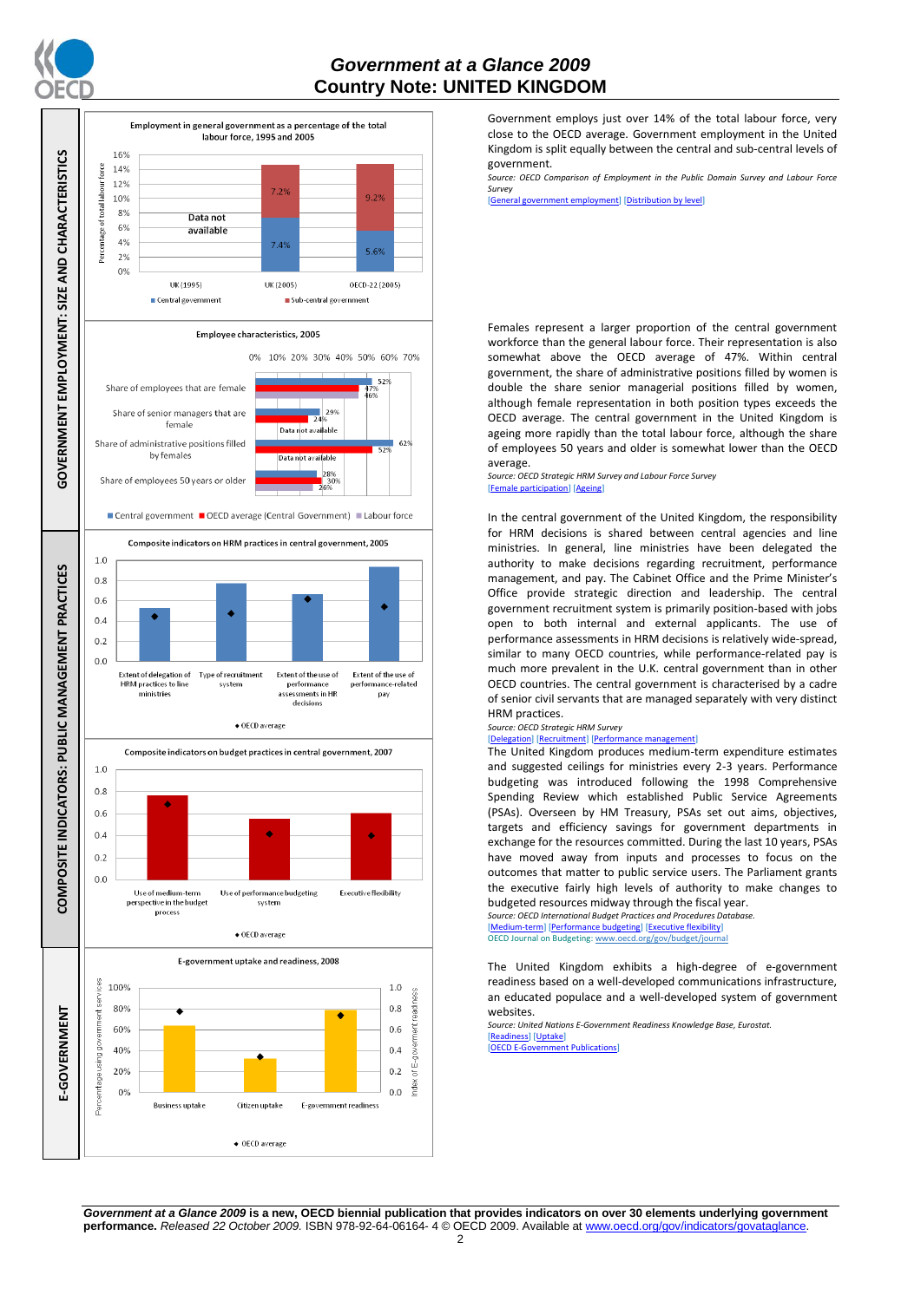

## *Government at a Glance 2009*  **Country Note: UNITED KINGDOM**



Government employs just over 14% of the total labour force, very close to the OECD average. Government employment in the United Kingdom is split equally between the central and sub-central levels of government.

*Source: OECD Comparison of Employment in the Public Domain Survey and Labour Force Survey*

ent employment] [\[Distribution by level\]](http://dx.doi.org/10.1787/723627140760)

Females represent a larger proportion of the central government workforce than the general labour force. Their representation is also somewhat above the OECD average of 47%. Within central government, the share of administrative positions filled by women is double the share senior managerial positions filled by women, although female representation in both position types exceeds the OECD average. The central government in the United Kingdom is ageing more rapidly than the total labour force, although the share of employees 50 years and older is somewhat lower than the OECD average.

*Source: OECD Strategic HRM Survey and Labour Force Survey* [\[Female participation\]](http://dx.doi.org/10.1787/723642841533) [\[Ageing\]](http://dx.doi.org/10.1787/723656070327)

In the central government of the United Kingdom, the responsibility for HRM decisions is shared between central agencies and line ministries. In general, line ministries have been delegated the authority to make decisions regarding recruitment, performance management, and pay. The Cabinet Office and the Prime Minister's Office provide strategic direction and leadership. The central government recruitment system is primarily position-based with jobs open to both internal and external applicants. The use of performance assessments in HRM decisions is relatively wide-spread, similar to many OECD countries, while performance-related pay is much more prevalent in the U.K. central government than in other OECD countries. The central government is characterised by a cadre of senior civil servants that are managed separately with very distinct HRM practices.

#### *Source: OECD Strategic HRM Survey*  [\[Delegation\]](http://dx.doi.org/10.1787/723663744332) [\[Recruitment\]](http://dx.doi.org/10.1787/723668744361) [\[Performance management\]](http://dx.doi.org/10.1787/723750171710)

The United Kingdom produces medium-term expenditure estimates and suggested ceilings for ministries every 2-3 years. Performance budgeting was introduced following the 1998 Comprehensive Spending Review which established Public Service Agreements (PSAs). Overseen by HM Treasury, PSAs set out aims, objectives, targets and efficiency savings for government departments in exchange for the resources committed. During the last 10 years, PSAs have moved away from inputs and processes to focus on the outcomes that matter to public service users. The Parliament grants the executive fairly high levels of authority to make changes to budgeted resources midway through the fiscal year. *Source: OECD International Budget Practices and Procedures Database.*

[\[Medium-term\]](http://dx.doi.org/10.1787/723856770865) [\[Performance budgeting\]](http://dx.doi.org/10.1787/723863437686) [\[Executive flexibility\]](http://dx.doi.org/10.1787/723876713213) OECD Journal on Budgeting[: www.oecd.org/gov/budget/journal](http://www.oecd.org/gov/budget/journal)

The United Kingdom exhibits a high-degree of e-government readiness based on a well-developed communications infrastructure, an educated populace and a well-developed system of government websites.

*Source: United Nations E-Government Readiness Knowledge Base, Eurostat.* [\[Readiness\]](http://dx.doi.org/10.1787/724248078408) [\[Uptake\]](http://dx.doi.org/10.1787/724264662272)

[\[OECD E-Government Publications\]](http://www.oecd.org/document/40/0,3343,en_2649_34129_41342248_1_1_1_1,00.html)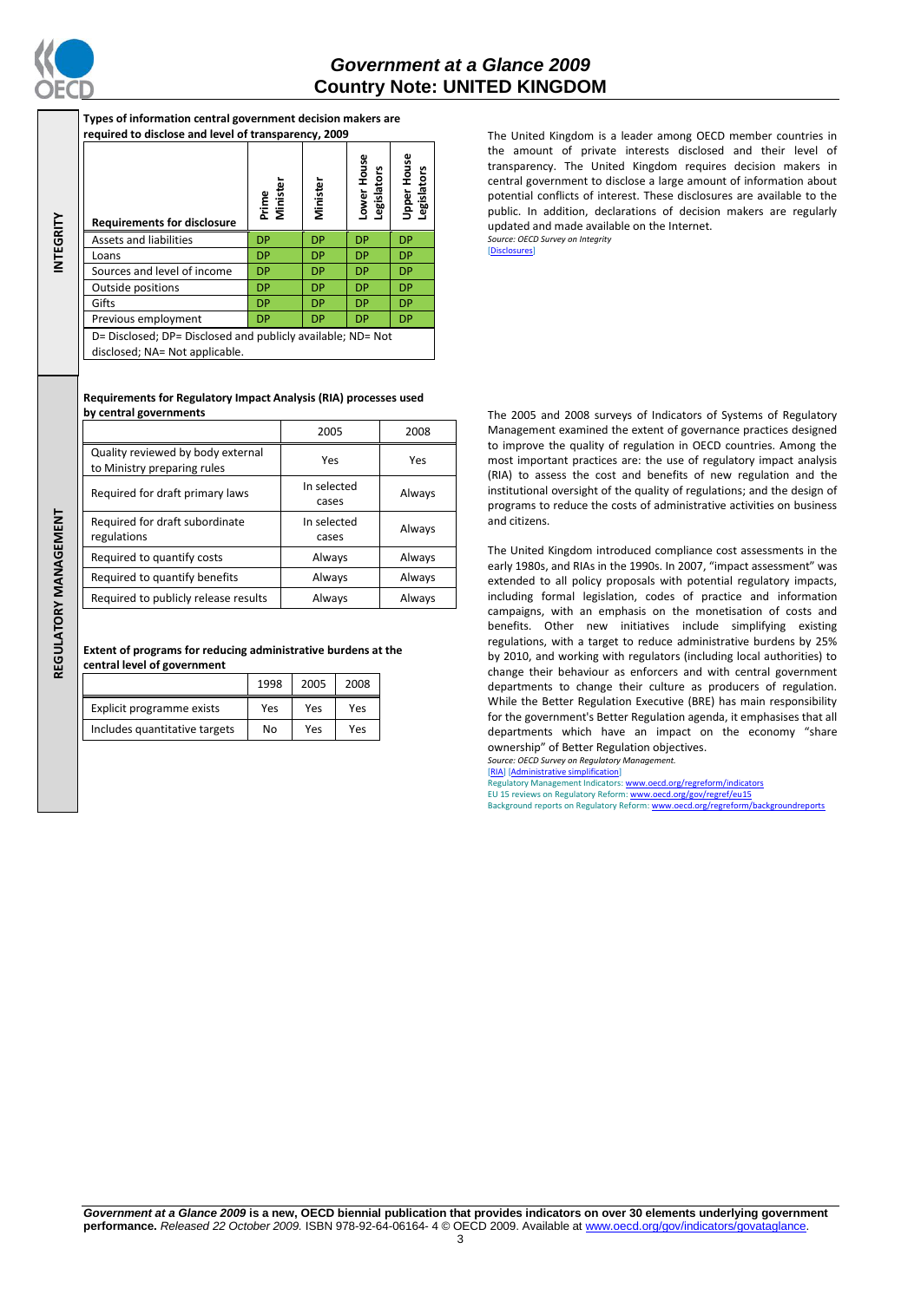

**INTEGRITY**

**Types of information central government decision makers are required to disclose and level of transparency, 2009**

| <b>Requirements for disclosure</b>                                                            | Minister<br>Prime | Minister  | ower House<br>gislators<br>ூ | Upper House<br>egislators |
|-----------------------------------------------------------------------------------------------|-------------------|-----------|------------------------------|---------------------------|
| Assets and liabilities                                                                        | DP                | <b>DP</b> | <b>DP</b>                    | <b>DP</b>                 |
| Loans                                                                                         | <b>DP</b>         | <b>DP</b> | <b>DP</b>                    | <b>DP</b>                 |
| Sources and level of income                                                                   | <b>DP</b>         | <b>DP</b> | <b>DP</b>                    | <b>DP</b>                 |
| Outside positions                                                                             | <b>DP</b>         | <b>DP</b> | <b>DP</b>                    | <b>DP</b>                 |
| Gifts                                                                                         | <b>DP</b>         | <b>DP</b> | <b>DP</b>                    | <b>DP</b>                 |
| Previous employment                                                                           | <b>DP</b>         | <b>DP</b> | <b>DP</b>                    | <b>DP</b>                 |
| D= Disclosed; DP= Disclosed and publicly available; ND= Not<br>disclosed; NA= Not applicable. |                   |           |                              |                           |

### **Requirements for Regulatory Impact Analysis (RIA) processes used by central governments**

|                                                                  | 2005                 | 2008   |
|------------------------------------------------------------------|----------------------|--------|
| Quality reviewed by body external<br>to Ministry preparing rules | Yes                  | Yes    |
| Required for draft primary laws                                  | In selected<br>cases | Always |
| Required for draft subordinate<br>regulations                    | In selected<br>cases | Always |
| Required to quantify costs                                       | Always               | Always |
| Required to quantify benefits                                    | Always               | Always |
| Required to publicly release results                             | Always               | Always |

**Extent of programs for reducing administrative burdens at the central level of government**

|                               | 1998 | 2005 | 2008 |
|-------------------------------|------|------|------|
| Explicit programme exists     | Yes  | Yes  | Yes  |
| Includes quantitative targets | No   | Yes  | Yes  |

The United Kingdom is a leader among OECD member countries in the amount of private interests disclosed and their level of transparency. The United Kingdom requires decision makers in central government to disclose a large amount of information about potential conflicts of interest. These disclosures are available to the public. In addition, declarations of decision makers are regularly updated and made available on the Internet. *Source: OECD Survey on Integrity*

[\[Disclosures\]](http://dx.doi.org/10.1787/724123642681)

The 2005 and 2008 surveys of Indicators of Systems of Regulatory Management examined the extent of governance practices designed to improve the quality of regulation in OECD countries. Among the most important practices are: the use of regulatory impact analysis (RIA) to assess the cost and benefits of new regulation and the institutional oversight of the quality of regulations; and the design of programs to reduce the costs of administrative activities on business and citizens.

The United Kingdom introduced compliance cost assessments in the early 1980s, and RIAs in the 1990s. In 2007, "impact assessment" was extended to all policy proposals with potential regulatory impacts, including formal legislation, codes of practice and information campaigns, with an emphasis on the monetisation of costs and benefits. Other new initiatives include simplifying existing regulations, with a target to reduce administrative burdens by 25% by 2010, and working with regulators (including local authorities) to change their behaviour as enforcers and with central government departments to change their culture as producers of regulation. While the Better Regulation Executive (BRE) has main responsibility for the government's Better Regulation agenda, it emphasises that all departments which have an impact on the economy "share ownership" of Better Regulation objectives.

*Source: OECD Survey on Regulatory Management.* [\[RIA\]](http://dx.doi.org/10.1787/724045144354) [\[Administrative simplification\]](http://dx.doi.org/10.1787/724058851054)

Regulatory Management Indicators[: www.oecd.org/regreform/indicators](http://www.oecd.org/regreform/indicators)<br>EU 15 reviews on Regulatory Reform[: www.oecd.org/gov/regref/eu15](http://www.oecd.org/gov/regref/eu15) Background reports on Regulatory Reform[: www.oecd.org/regreform/backgroundreports](http://www.oecd.org/regreform/backgroundreports)

REGULATORY MANAGEMENT **REGULATORY MANAGEMENT**